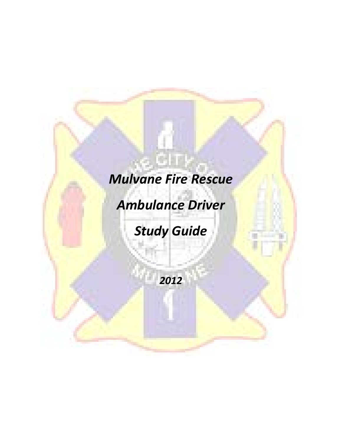# *Mulvane Fire Rescue*

*Ambulance Driver* 

*Study Guide*

*2012*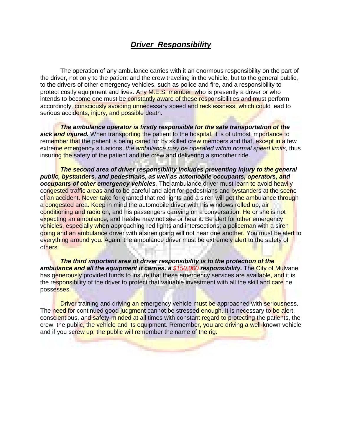## *Driver Responsibility*

The operation of any ambulance carries with it an enormous responsibility on the part of the driver, not only to the patient and the crew traveling in the vehicle, but to the general public, to the drivers of other emergency vehicles, such as police and fire, and a responsibility to protect costly equipment and lives. Any M.E.S. member, who is presently a driver or who intends to become one must be constantly aware of these responsibilities and must perform accordingly, consciously avoiding unnecessary speed and recklessness, which could lead to serious accidents, injury, and possible death.

*The ambulance operator is firstly responsible for the safe transportation of the sick and injured.* When transporting the patient to the hospital, it is of utmost importance to remember that the patient is being cared for by skilled crew members and that, except in a few extreme emergency situations, *the ambulance may be operated within normal speed limits,* thus insuring the safety of the patient and the crew and delivering a smoother ride.

*The second area of driver responsibility includes preventing injury to the general public, bystanders, and pedestrians, as well as automobile occupants, operators, and occupants of other emergency vehicles.* The ambulance driver must learn to avoid heavily congested traffic areas and to be careful and alert for pedestrians and bystanders at the scene of an accident. Never take for granted that red lights and a siren will get the ambulance through a congested area. Keep in mind the automobile driver with his windows rolled up, air conditioning and radio on, and his passengers carrying on a conversation. He or she is not expecting an ambulance, and he/she may not see or hear it. Be alert for other emergency vehicles, especially when approaching red lights and intersections; a policeman with a siren going and an ambulance driver with a siren going will not hear one another. You must be alert to everything around you. Again, the ambulance driver must be extremely alert to the safety of others.

*The third important area of driver responsibility is to the protection of the ambulance and all the equipment it carries, a \$150,000 responsibility.* The City of Mulvane has generously provided funds to insure that these emergency services are available, and it is the responsibility of the driver to protect that valuable investment with all the skill and care he possesses.

Driver training and driving an emergency vehicle must be approached with seriousness. The need for continued good judgment cannot be stressed enough. It is necessary to be alert, conscientious, and safety-minded at all times with constant regard to protecting the patients, the crew, the public, the vehicle and its equipment. Remember, you are driving a well-known vehicle and if you screw up, the public will remember the name of the rig.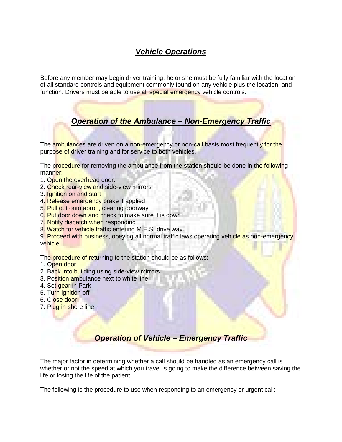# *Vehicle Operations*

Before any member may begin driver training, he or she must be fully familiar with the location of all standard controls and equipment commonly found on any vehicle plus the location, and function. Drivers must be able to use all special emergency vehicle controls.

# *Operation of the Ambulance – Non-Emergency Traffic*

The ambulances are driven on a non-emergency or non-call basis most frequently for the purpose of driver training and for service to both vehicles.

The procedure for removing the ambulance from the station should be done in the following manner:

- 1. Open the overhead door.
- 2. Check rear-view and side-view mirrors
- 3. Ignition on and start
- 4. Release emergency brake if applied
- 5. Pull out onto apron, clearing doorway
- 6. Put door down and check to make sure it is down
- 7. Notify dispatch when responding
- 8. Watch for vehicle traffic entering M.E.S. drive way.

9. Proceed with business, obeying all normal traffic laws operating vehicle as non-emergency vehicle.

The procedure of returning to the station should be as follows:

- 1. Open door
- 2. Back into building using side-view mirrors
- 3. Position ambulance next to white line
- 4. Set gear in Park
- 5. Turn ignition off
- 6. Close door
- 7. Plug in shore line

# *Operation of Vehicle – Emergency Traffic*

The major factor in determining whether a call should be handled as an emergency call is whether or not the speed at which you travel is going to make the difference between saving the life or losing the life of the patient.

The following is the procedure to use when responding to an emergency or urgent call: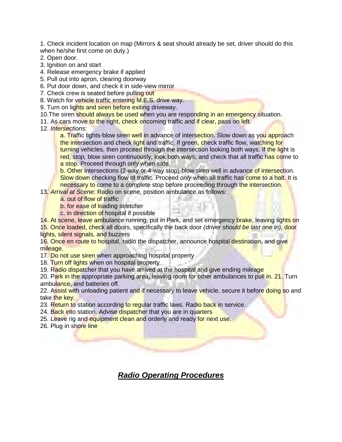1. Check incident location on map (Mirrors & seat should already be set, driver should do this when he/she first come on duty.)

- 2. Open door.
- 3. Ignition on and start
- 4. Release emergency brake if applied
- 5. Pull out into apron, clearing doorway
- 6. Put door down, and check it in side-view mirror
- 7. Check crew is seated before pulling out
- 8. Watch for vehicle traffic entering M.E.S. drive way.
- 9. Turn on lights and siren before exiting driveway.
- 10. The siren should always be used when you are responding in an emergency situation.
- 11. As cars move to the right, check oncoming traffic and if clear, pass on left.
- 12. *Intersections:*

a. Traffic lights-blow siren well in advance of intersection. Slow down as you approach the intersection and check light and traffic. If green, check traffic flow, watching for turning vehicles, then proceed through the intersection looking both ways. If the light is red, *stop,* blow siren continuously, look both ways, and check that all traffic has come to a stop. Proceed through only when safe.

b. Other intersections (2-way or 4-way stop)-blow siren well in advance of intersection. Slow down checking flow of traffic. Proceed *only* when all traffic has come to a halt. It is necessary to come to a complete stop before proceeding through the intersection.

- 13. *Arrival at Scene:* Radio on scene, position ambulance as follows:
	- a. out of flow of traffic
	- b. for ease of loading stretcher
	- c. in direction of hospital if possible

14. At scene, leave ambulance running, put in Park, and set emergency brake, leaving lights on 15. Once loaded, check all doors, specifically the back door *(driver should be last one in),* door

lights, silent signals, and buzzers

16. Once en route to hospital, radio the dispatcher, announce hospital destination, and give mileage.

17. Do not use siren when approaching hospital property

18. Turn off lights when on hospital property

19. Radio dispatcher that you have arrived at the hospital and give ending mileage

20. Park in the appropriate parking area, leaving room for other ambulances to pull in. 21. Turn ambulance, and batteries off.

22. Assist with unloading patient and if necessary to leave vehicle, secure it before doing so and take the key.

23. Return to station according to regular traffic laws. Radio back in service.

24. Back into station. Advise dispatcher that you are in quarters

25. Leave rig and equipment clean and orderly and ready for next use.

26. Plug in shore line

*Radio Operating Procedures*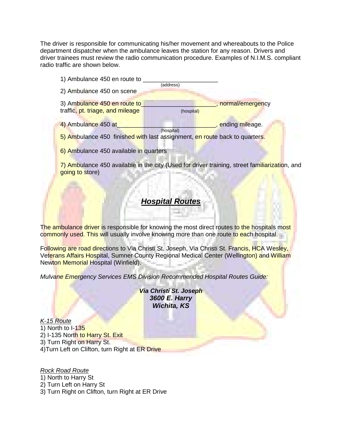The driver is responsible for communicating his/her movement and whereabouts to the Police department dispatcher when the ambulance leaves the station for any reason. Drivers and driver trainees must review the radio communication procedure. Examples of N.I.M.S. compliant radio traffic are shown below.

| 1) Ambulance 450 en route to                                                                                     | (address)                                                                                                     |
|------------------------------------------------------------------------------------------------------------------|---------------------------------------------------------------------------------------------------------------|
| 2) Ambulance 450 on scene                                                                                        |                                                                                                               |
| 3) Ambulance 450 en route to<br>traffic, pt. triage, and mileage                                                 | normal/emergency<br>(hospital)                                                                                |
| 4) Ambulance 450 at                                                                                              | , ending mileage.<br>(hospital)<br>5) Ambulance 450 finished with last assignment, en route back to quarters. |
| 6) Ambulance 450 available in quarters                                                                           |                                                                                                               |
| 7) Ambulance 450 available in the city (Used for driver training, street familiarization, and<br>going to store) |                                                                                                               |

# *Hospital Routes*

The ambulance driver is responsible for knowing the most direct routes to the hospitals most commonly used. This will usually involve knowing more than one route to each hospital.

Following are road directions to Via Christi St. Joseph, Via Christi St. Francis, HCA Wesley, Veterans Affairs Hospital, Sumner County Regional Medical Center (Wellington) and William Newton Memorial Hospital (Winfield).

*Mulvane Emergency Services EMS Division Recommended Hospital Routes Guide:*

*Via Christi St. Joseph 3600 E. Harry Wichita, KS*

*K-15 Route* 1) North to I-135 2) I-135 North to Harry St. Exit 3) Turn Right on Harry St. 4)Turn Left on Clifton, turn Right at ER Drive

*Rock Road Route* 1) North to Harry St 2) Turn Left on Harry St 3) Turn Right on Clifton, turn Right at ER Drive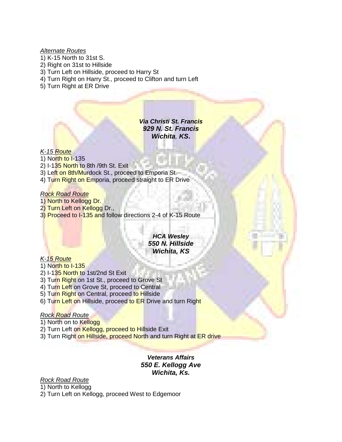#### *Alternate Routes*

- 1) K-15 North to 31st S.
- 2) Right on 31st to Hillside
- 3) Turn Left on Hillside, proceed to Harry St
- 4) Turn Right on Harry St., proceed to Clifton and turn Left
- 5) Turn Right at ER Drive

*Via Christi St. Francis 929 N. St. Francis Wichita, KS***.**

## *K-15 Route*

- 1) North to I-135
- 2) I-135 North to 8th /9th St. Exit
- 3) Left on 8th/Murdock St., proceed to Emporia St.
- 4) Turn Right on Emporia, proceed straight to ER Drive

#### *Rock Road Route*

- 1) North to Kellogg Dr.
- 2) Turn Left on Kellogg Dr.,
- 3) Proceed to I-135 and follow directions 2-4 of K-15 Route

## *HCA Wesley 550 N. Hillside Wichita, KS*

## *K-15 Route*

- 1) North to I-135
- 2) I-135 North to 1st/2nd St Exit
- 3) Turn Right on 1st St., proceed to Grove St
- 4) Turn Left on Grove St, proceed to Central
- 5) Turn Right on Central, proceed to Hillside
- 6) Turn Left on Hillside, proceed to ER Drive and turn Right

## *Rock Road Route*

- 1) North on to Kellogg
- 2) Turn Left on Kellogg, proceed to Hillside Exit
- 3) Turn Right on Hillside, proceed North and turn Right at ER drive

*Veterans Affairs 550 E. Kellogg Ave Wichita, Ks.*

## *Rock Road Route* 1) North to Kellogg

2) Turn Left on Kellogg, proceed West to Edgemoor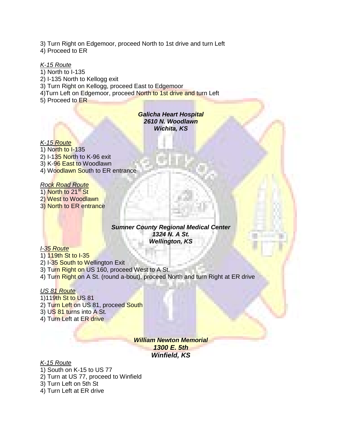3) Turn Right on Edgemoor, proceed North to 1st drive and turn Left

4) Proceed to ER

*K-15 Route* 1) North to I-135 2) I-135 North to Kellogg exit 3) Turn Right on Kellogg, proceed East to Edgemoor 4) Turn Left on Edgemoor, proceed North to 1st drive and turn Left 5) Proceed to ER

> *Galicha Heart Hospital 2610 N. Woodlawn Wichita, KS*

*K-15 Route* 1) North to I-135 2) I-135 North to K-96 exit 3) K-96 East to Woodlawn 4) Woodlawn South to ER entrance

# *Rock Road Route*

1) North to 21<sup>st</sup> St 2) West to Woodlawn 3) North to ER entrance

#### *Sumner County Regional Medical Center 1324 N. A St. Wellington, KS*

## *I-35 Route*

1) 119th St to I-35

2) I-35 South to Wellington Exit

3) Turn Right on US 160, proceed West to A St.

4) Turn Right on A St. (round a-bout), proceed North and turn Right at ER drive

## *US 81 Route*

1)119th St to US 81 2) Turn Left on US 81, proceed South 3) US 81 turns into A St. 4) Turn Left at ER drive

> *William Newton Memorial 1300 E. 5th Winfield, KS*

## *K-15 Route*

1) South on K-15 to US 77

2) Turn at US 77, proceed to Winfield

3) Turn Left on 5th St

4) Turn Left at ER drive